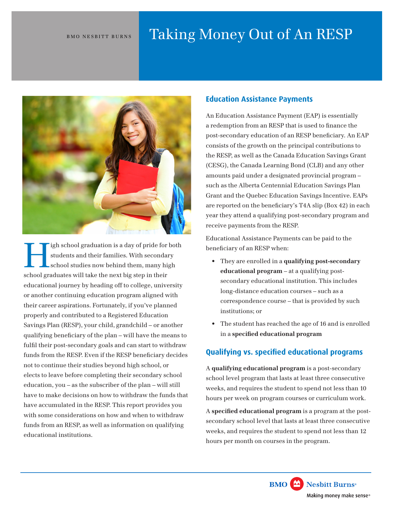# BMO NESBITT BURNS Taking Money Out of An RESP



igh school graduation is a day of pride for both students and their families. With secondary school studies now behind them, many high school graduates will take the next big step in their educational journey by heading off to college, university or another continuing education program aligned with their career aspirations. Fortunately, if you've planned properly and contributed to a Registered Education Savings Plan (RESP), your child, grandchild – or another qualifying beneficiary of the plan – will have the means to fulfil their post-secondary goals and can start to withdraw funds from the RESP. Even if the RESP beneficiary decides not to continue their studies beyond high school, or elects to leave before completing their secondary school education, you – as the subscriber of the plan – will still have to make decisions on how to withdraw the funds that have accumulated in the RESP. This report provides you with some considerations on how and when to withdraw funds from an RESP, as well as information on qualifying educational institutions.

## **Education Assistance Payments**

An Education Assistance Payment (EAP) is essentially a redemption from an RESP that is used to finance the post-secondary education of an RESP beneficiary. An EAP consists of the growth on the principal contributions to the RESP, as well as the Canada Education Savings Grant (CESG), the Canada Learning Bond (CLB) and any other amounts paid under a designated provincial program – such as the Alberta Centennial Education Savings Plan Grant and the Quebec Education Savings Incentive. EAPs are reported on the beneficiary's T4A slip (Box 42) in each year they attend a qualifying post-secondary program and receive payments from the RESP.

Educational Assistance Payments can be paid to the beneficiary of an RESP when:

- They are enrolled in a **qualifying post-secondary educational program** – at a qualifying postsecondary educational institution. This includes long-distance education courses – such as a correspondence course – that is provided by such institutions; or
- The student has reached the age of 16 and is enrolled in a **specified educational program**

# **Qualifying vs. specified educational programs**

A **qualifying educational program** is a post-secondary school level program that lasts at least three consecutive weeks, and requires the student to spend not less than 10 hours per week on program courses or curriculum work.

A **specified educational program** is a program at the postsecondary school level that lasts at least three consecutive weeks, and requires the student to spend not less than 12 hours per month on courses in the program.

**BMO** Nesbitt Burns<sup>®</sup>

Making money make sense®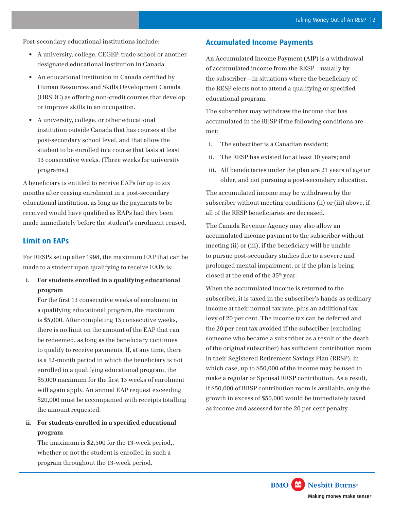Post-secondary educational institutions include:

- A university, college, CEGEP, trade school or another designated educational institution in Canada.
- An educational institution in Canada certified by Human Resources and Skills Development Canada (HRSDC) as offering non-credit courses that develop or improve skills in an occupation.
- • A university, college, or other educational institution outside Canada that has courses at the post-secondary school level, and that allow the student to be enrolled in a course that lasts at least 13 consecutive weeks. (Three weeks for university programs.)

A beneficiary is entitled to receive EAPs for up to six months after ceasing enrolment in a post-secondary educational institution, as long as the payments to be received would have qualified as EAPs had they been made immediately before the student's enrolment ceased.

## **Limit on EAPs**

For RESPs set up after 1998, the maximum EAP that can be made to a student upon qualifying to receive EAPs is:

**i. For students enrolled in a qualifying educational program** 

For the first 13 consecutive weeks of enrolment in a qualifying educational program, the maximum is \$5,000. After completing 13 consecutive weeks, there is no limit on the amount of the EAP that can be redeemed, as long as the beneficiary continues to qualify to receive payments. If, at any time, there is a 12-month period in which the beneficiary is not enrolled in a qualifying educational program, the \$5,000 maximum for the first 13 weeks of enrolment will again apply. An annual EAP request exceeding \$20,000 must be accompanied with receipts totalling the amount requested.

**ii. For students enrolled in a specified educational program** 

The maximum is \$2,500 for the 13-week period,, whether or not the student is enrolled in such a program throughout the 13-week period.

### **Accumulated Income Payments**

An Accumulated Income Payment (AIP) is a withdrawal of accumulated income from the RESP – usually by the subscriber – in situations where the beneficiary of the RESP elects not to attend a qualifying or specified educational program.

The subscriber may withdraw the income that has accumulated in the RESP if the following conditions are met:

- i. The subscriber is a Canadian resident;
- ii. The RESP has existed for at least 10 years; and
- iii. All beneficiaries under the plan are 21 years of age or older, and not pursuing a post-secondary education.

The accumulated income may be withdrawn by the subscriber without meeting conditions (ii) or (iii) above, if all of the RESP beneficiaries are deceased.

The Canada Revenue Agency may also allow an accumulated income payment to the subscriber without meeting (ii) or (iii), if the beneficiary will be unable to pursue post-secondary studies due to a severe and prolonged mental impairment, or if the plan is being closed at the end of the 35<sup>th</sup> year.

When the accumulated income is returned to the subscriber, it is taxed in the subscriber's hands as ordinary income at their normal tax rate, plus an additional tax levy of 20 per cent. The income tax can be deferred and the 20 per cent tax avoided if the subscriber (excluding someone who became a subscriber as a result of the death of the original subscriber) has sufficient contribution room in their Registered Retirement Savings Plan (RRSP). In which case, up to \$50,000 of the income may be used to make a regular or Spousal RRSP contribution. As a result, if \$50,000 of RRSP contribution room is available, only the growth in excess of \$50,000 would be immediately taxed as income and assessed for the 20 per cent penalty.